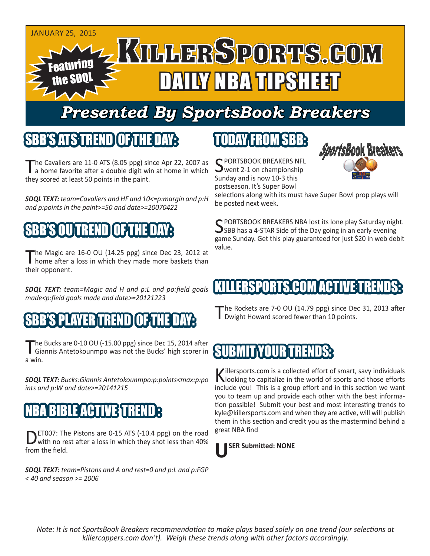

## *Presented By SportsBook Breakers*

### SBB'S ATSTREND

The Cavaliers are 11-0 ATS (8.05 ppg) since Apr 22, 2007 as a home favorite after a double digit win at home in which they scored at least 50 points in the paint.

*SDQL TEXT: team=Cavaliers and HF and 10<=p:margin and p:H and p:points in the paint>=50 and date>=20070422*

## SBB'S OU TREND OF THE DAY:

The Magic are 16-0 OU (14.25 ppg) since Dec 23, 2012 at home after a loss in which they made more baskets than their opponent.

*SDQL TEXT: team=Magic and H and p:L and po:field goals made<p:field goals made and date>=20121223*

### ERTIREN

The Bucks are 0-10 OU (-15.00 ppg) since Dec 15, 2014 after<br>
Giannis Antetokounmpo was not the Bucks' high scorer in a win.

*SDQL TEXT: Bucks:Giannis Antetokounmpo:p:points<max:p:po ints and p:W and date>=20141215*

### BIBLE ACTIVIET

DET007: The Pistons are 0-15 ATS (-10.4 ppg) on the road with no rest after a loss in which they shot less than 40% from the field.

*SDQL TEXT: team=Pistons and A and rest=0 and p:L and p:FGP < 40 and season >= 2006*

## TODAY FROM SBB:

C PORTSBOOK BREAKERS NFL  $\sum$  went 2-1 on championship Sunday and is now 10-3 this postseason. It's Super Bowl



selections along with its must have Super Bowl prop plays will be posted next week.

C PORTSBOOK BREAKERS NBA lost its lone play Saturday night. **J**SBB has a 4-STAR Side of the Day going in an early evening game Sunday. Get this play guaranteed for just \$20 in web debit value.

#### ERSPORTS.COI

The Rockets are 7-0 OU (14.79 ppg) since Dec 31, 2013 after Dwight Howard scored fewer than 10 points.

### SUBMIT YOUR T

Killersports.com is a collected effort of smart, savy individuals<br>Nooking to capitalize in the world of sports and those efforts include you! This is a group effort and in this section we want you to team up and provide each other with the best information possible! Submit your best and most interesting trends to kyle@killersports.com and when they are active, will will publish them in this section and credit you as the mastermind behind a great NBA find



*Note: It is not SportsBook Breakers recommendation to make plays based solely on one trend (our selections at killercappers.com don't). Weigh these trends along with other factors accordingly.*